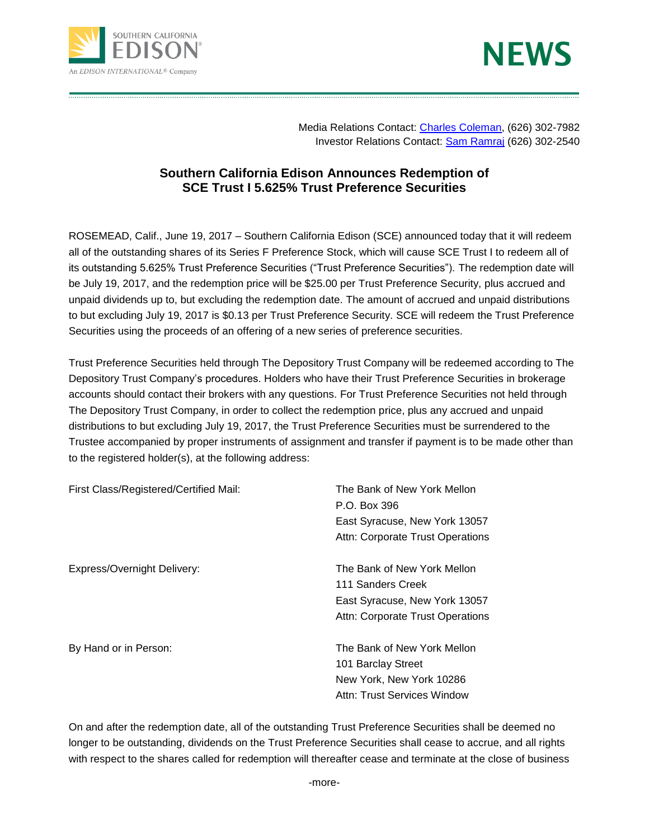



Media Relations Contact: [Charles Coleman,](mailto:CHARLES.COLEMAN@EDISONINTL.COM) (626) 302-7982 Investor Relations Contact: [Sam Ramraj](mailto:sam.ramraj@edisonintl.com) (626) 302-2540

## **Southern California Edison Announces Redemption of SCE Trust I 5.625% Trust Preference Securities**

ROSEMEAD, Calif., June 19, 2017 – Southern California Edison (SCE) announced today that it will redeem all of the outstanding shares of its Series F Preference Stock, which will cause SCE Trust I to redeem all of its outstanding 5.625% Trust Preference Securities ("Trust Preference Securities"). The redemption date will be July 19, 2017, and the redemption price will be \$25.00 per Trust Preference Security, plus accrued and unpaid dividends up to, but excluding the redemption date. The amount of accrued and unpaid distributions to but excluding July 19, 2017 is \$0.13 per Trust Preference Security. SCE will redeem the Trust Preference Securities using the proceeds of an offering of a new series of preference securities.

Trust Preference Securities held through The Depository Trust Company will be redeemed according to The Depository Trust Company's procedures. Holders who have their Trust Preference Securities in brokerage accounts should contact their brokers with any questions. For Trust Preference Securities not held through The Depository Trust Company, in order to collect the redemption price, plus any accrued and unpaid distributions to but excluding July 19, 2017, the Trust Preference Securities must be surrendered to the Trustee accompanied by proper instruments of assignment and transfer if payment is to be made other than to the registered holder(s), at the following address:

| First Class/Registered/Certified Mail: | The Bank of New York Mellon      |
|----------------------------------------|----------------------------------|
|                                        | P.O. Box 396                     |
|                                        | East Syracuse, New York 13057    |
|                                        | Attn: Corporate Trust Operations |
| Express/Overnight Delivery:            | The Bank of New York Mellon      |
|                                        | 111 Sanders Creek                |
|                                        | East Syracuse, New York 13057    |
|                                        | Attn: Corporate Trust Operations |
| By Hand or in Person:                  | The Bank of New York Mellon      |
|                                        | 101 Barclay Street               |
|                                        | New York, New York 10286         |
|                                        | Attn: Trust Services Window      |

On and after the redemption date, all of the outstanding Trust Preference Securities shall be deemed no longer to be outstanding, dividends on the Trust Preference Securities shall cease to accrue, and all rights with respect to the shares called for redemption will thereafter cease and terminate at the close of business